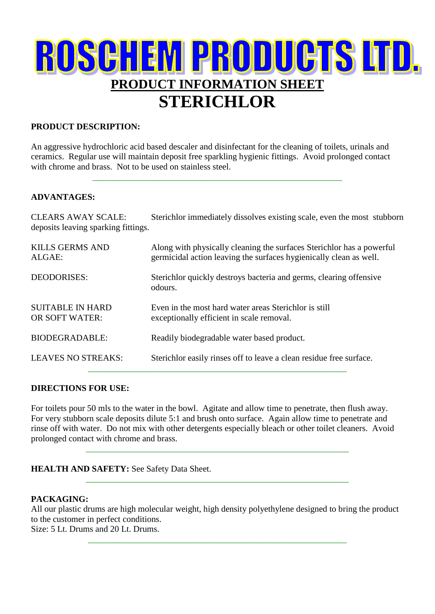## ROSCHEM PRODUCTS LTD. **PRODUCT INFORMATION SHEET STERICHLOR**

#### **PRODUCT DESCRIPTION:**

An aggressive hydrochloric acid based descaler and disinfectant for the cleaning of toilets, urinals and ceramics. Regular use will maintain deposit free sparkling hygienic fittings. Avoid prolonged contact with chrome and brass. Not to be used on stainless steel.

\_\_\_\_\_\_\_\_\_\_\_\_\_\_\_\_\_\_\_\_\_\_\_\_\_\_\_\_\_\_\_\_\_\_\_\_\_\_\_\_\_\_\_\_\_\_\_\_\_\_\_\_\_\_\_\_\_

#### **ADVANTAGES:**

CLEARS AWAY SCALE: Sterichlor immediately dissolves existing scale, even the most stubborn deposits leaving sparking fittings. KILLS GERMS AND Along with physically cleaning the surfaces Sterichlor has a powerful

| germicidal action leaving the surfaces hygienically clean as well.                                 |
|----------------------------------------------------------------------------------------------------|
| Sterichlor quickly destroys bacteria and germs, clearing offensive<br>odours.                      |
| Even in the most hard water areas Sterichlor is still<br>exceptionally efficient in scale removal. |
| Readily biodegradable water based product.                                                         |
| Sterichlor easily rinses off to leave a clean residue free surface.                                |
|                                                                                                    |

#### **DIRECTIONS FOR USE:**

For toilets pour 50 mls to the water in the bowl. Agitate and allow time to penetrate, then flush away. For very stubborn scale deposits dilute 5:1 and brush onto surface. Again allow time to penetrate and rinse off with water. Do not mix with other detergents especially bleach or other toilet cleaners. Avoid prolonged contact with chrome and brass.

\_\_\_\_\_\_\_\_\_\_\_\_\_\_\_\_\_\_\_\_\_\_\_\_\_\_\_\_\_\_\_\_\_\_\_\_\_\_\_\_\_\_\_\_\_\_\_\_\_\_\_\_\_\_\_\_\_\_\_\_

\_\_\_\_\_\_\_\_\_\_\_\_\_\_\_\_\_\_\_\_\_\_\_\_\_\_\_\_\_\_\_\_\_\_\_\_\_\_\_\_\_\_\_\_\_\_\_\_\_\_\_\_\_\_\_\_\_\_\_\_

#### **HEALTH AND SAFETY:** See Safety Data Sheet.

#### **PACKAGING:**

All our plastic drums are high molecular weight, high density polyethylene designed to bring the product to the customer in perfect conditions.

\_\_\_\_\_\_\_\_\_\_\_\_\_\_\_\_\_\_\_\_\_\_\_\_\_\_\_\_\_\_\_\_\_\_\_\_\_\_\_\_\_\_\_\_\_\_\_\_\_\_\_\_\_\_\_\_\_\_\_

Size: 5 Lt. Drums and 20 Lt. Drums.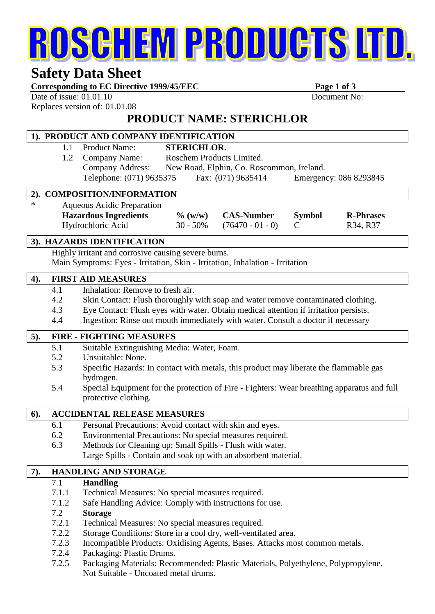# ROSCHEM PRODUCTS LTD.

## **Safety Data Sheet**

Corresponding to EC Directive 1999/45/EEC Page 1 of 3

Date of issue:  $01.01.10$  Document No: Replaces version of: 01.01.08

### **PRODUCT NAME: STERICHLOR**

#### **1). PRODUCT AND COMPANY IDENTIFICATION** 1.1 Product Name: **STERICHLOR.** 1.2 Company Name: Roschem Products Limited. Company Address: New Road, Elphin, Co. Roscommon, Ireland. Telephone: (071) 9635375 Fax: (071) 9635414 Emergency: 086 8293845  **2). COMPOSITION/INFORMATION** Aqueous Acidic Preparation **Hazardous Ingredients % (w/w) CAS-Number Symbol R-Phrases** Hydrochloric Acid 30 - 50% (76470 - 01 - 0) C R34, R37  **3). HAZARDS IDENTIFICATION** Highly irritant and corrosive causing severe burns. Main Symptoms: Eyes - Irritation, Skin - Irritation, Inhalation - Irritation **4). FIRST AID MEASURES** 4.1 Inhalation: Remove to fresh air. 4.2 Skin Contact: Flush thoroughly with soap and water remove contaminated clothing. 4.3 Eye Contact: Flush eyes with water. Obtain medical attention if irritation persists. 4.4 Ingestion: Rinse out mouth immediately with water. Consult a doctor if necessary **5). FIRE - FIGHTING MEASURES** 5.1 Suitable Extinguishing Media: Water, Foam. 5.2 Unsuitable: None. 5.3 Specific Hazards: In contact with metals, this product may liberate the flammable gas hydrogen. 5.4 Special Equipment for the protection of Fire - Fighters: Wear breathing apparatus and full protective clothing. **6). ACCIDENTAL RELEASE MEASURES** 6.1 Personal Precautions: Avoid contact with skin and eyes. 6.2 Environmental Precautions: No special measures required. 6.3 Methods for Cleaning up: Small Spills - Flush with water. Large Spills - Contain and soak up with an absorbent material. **7). HANDLING AND STORAGE** 7.1 **Handling** 7.1.1 Technical Measures: No special measures required. 7.1.2 Safe Handling Advice: Comply with instructions for use. 7.2 **Storag**e 7.2.1 Technical Measures: No special measures required. 7.2.2 Storage Conditions: Store in a cool dry, well-ventilated area. 7.2.3 Incompatible Products: Oxidising Agents, Bases. Attacks most common metals. 7.2.4 Packaging: Plastic Drums. 7.2.5 Packaging Materials: Recommended: Plastic Materials, Polyethylene, Polypropylene. Not Suitable - Uncoated metal drums.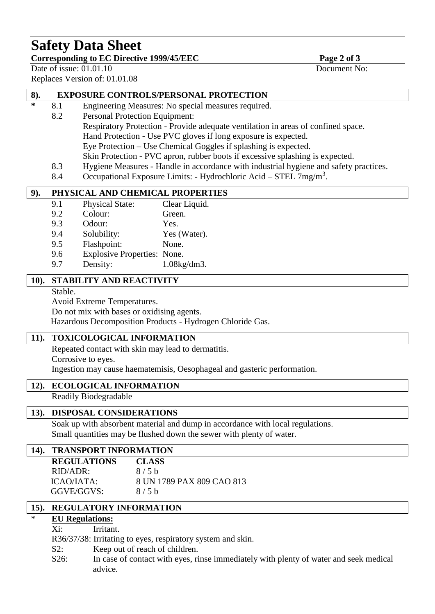## **Safety Data Sheet**

#### Corresponding to EC Directive 1999/45/EEC Page 2 of 3

Date of issue:  $01.01.10$  Document No:

l

Replaces Version of: 01.01.08

#### **8). EXPOSURE CONTROLS/PERSONAL PROTECTION**

- **\*** 8.1 Engineering Measures: No special measures required.
	- 8.2 Personal Protection Equipment: Respiratory Protection - Provide adequate ventilation in areas of confined space. Hand Protection - Use PVC gloves if long exposure is expected. Eye Protection – Use Chemical Goggles if splashing is expected. Skin Protection - PVC apron, rubber boots if excessive splashing is expected.
	- 8.3 Hygiene Measures Handle in accordance with industrial hygiene and safety practices.
	- 8.4 Occupational Exposure Limits: Hydrochloric Acid STEL  $7mg/m<sup>3</sup>$ .

#### **9). PHYSICAL AND CHEMICAL PROPERTIES**

- 9.1 Physical State: Clear Liquid.
- 9.2 Colour: Green.
- 9.3 Odour: Yes.
- 9.4 Solubility: Yes (Water).
- 9.5 Flashpoint: None.
- 9.6 Explosive Properties: None. 9.7 Density: 1.08kg/dm3.

#### **10). STABILITY AND REACTIVITY**

Stable.

Avoid Extreme Temperatures.

Do not mix with bases or oxidising agents.

Hazardous Decomposition Products - Hydrogen Chloride Gas.

#### **11). TOXICOLOGICAL INFORMATION**

Repeated contact with skin may lead to dermatitis.

Corrosive to eyes.

Ingestion may cause haematemisis, Oesophageal and gasteric performation.

#### **12). ECOLOGICAL INFORMATION**

Readily Biodegradable

#### **13). DISPOSAL CONSIDERATIONS**

Soak up with absorbent material and dump in accordance with local regulations. Small quantities may be flushed down the sewer with plenty of water.

#### **14). TRANSPORT INFORMATION**

| <b>REGULATIONS</b> | <b>CLASS</b>              |
|--------------------|---------------------------|
| $RID/ADR$ :        | 8/5h                      |
| ICAO/IATA:         | 8 UN 1789 PAX 809 CAO 813 |
| GGVE/GGVS:         | 8/5h                      |

#### **15). REGULATORY INFORMATION**

#### **EU Regulations:**

Xi: Irritant.

R36/37/38: Irritating to eyes, respiratory system and skin.

S2: Keep out of reach of children.

S26: In case of contact with eyes, rinse immediately with plenty of water and seek medical advice.